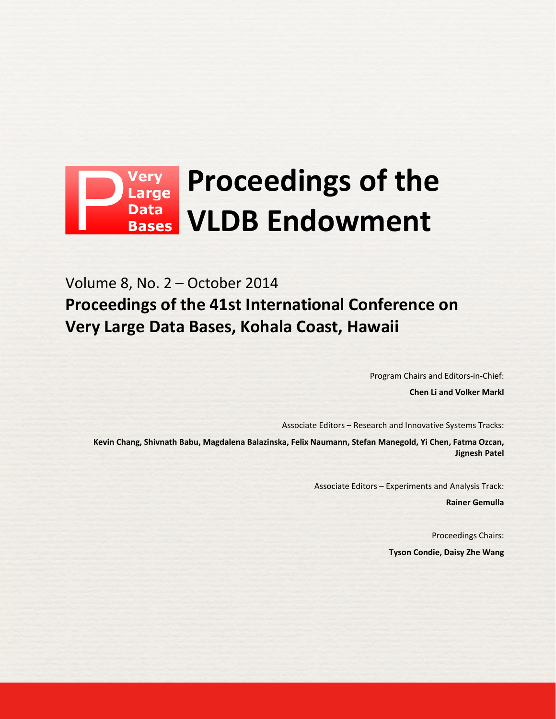# **Proceedings of the Data VLDB Endowment Bases**

Volume 8, No. 2 – October 2014 **Proceedings of the 41st International Conference on Very Large Data Bases, Kohala Coast, Hawaii**

Program Chairs and Editors-in-Chief:

**Chen Li and Volker Markl**

Associate Editors – Research and Innovative Systems Tracks:

**Kevin Chang, Shivnath Babu, Magdalena Balazinska, Felix Naumann, Stefan Manegold, Yi Chen, Fatma Ozcan, Jignesh Patel**

Associate Editors – Experiments and Analysis Track:

**Rainer Gemulla**

Proceedings Chairs: **Tyson Condie, Daisy Zhe Wang**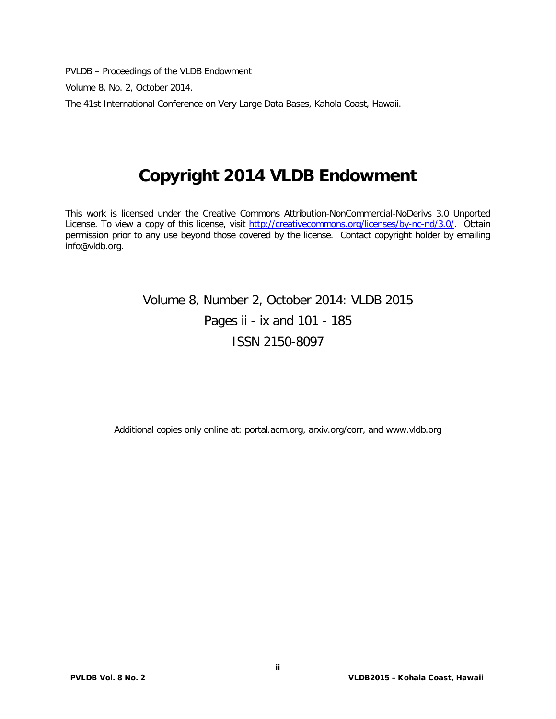PVLDB – Proceedings of the VLDB Endowment

Volume 8, No. 2, October 2014.

The 41st International Conference on Very Large Data Bases, Kahola Coast, Hawaii.

# **Copyright 2014 VLDB Endowment**

This work is licensed under the Creative Commons Attribution-NonCommercial-NoDerivs 3.0 Unported License. To view a copy of this license, visit [http://creativecommons.org/licenses/by-nc-nd/3.0/.](http://creativecommons.org/licenses/by-nc-nd/3.0/) Obtain permission prior to any use beyond those covered by the license. Contact copyright holder by emailing info@vldb.org.

# Volume 8, Number 2, October 2014: VLDB 2015 Pages ii - ix and 101 - 185 ISSN 2150-8097

Additional copies only online at: portal.acm.org, arxiv.org/corr, and www.vldb.org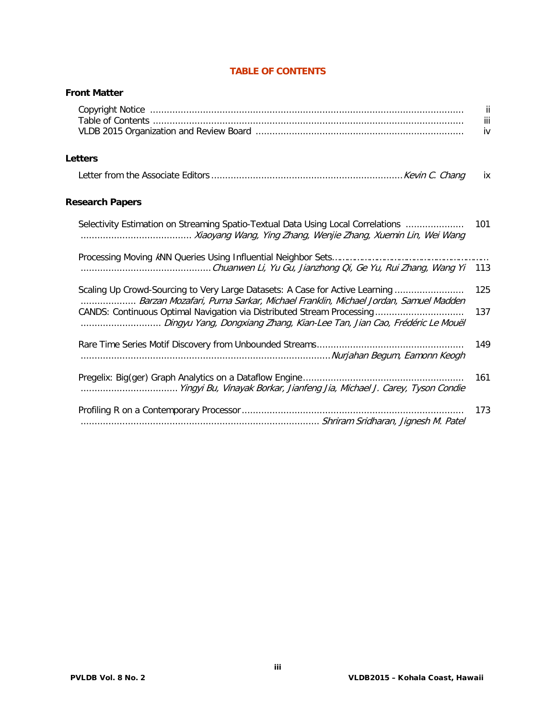|                                                                                                                                                                                                                                     | ii<br>iii<br>iv |
|-------------------------------------------------------------------------------------------------------------------------------------------------------------------------------------------------------------------------------------|-----------------|
| <b>Letters</b>                                                                                                                                                                                                                      |                 |
|                                                                                                                                                                                                                                     | ix              |
| <b>Research Papers</b>                                                                                                                                                                                                              |                 |
| Selectivity Estimation on Streaming Spatio-Textual Data Using Local Correlations                                                                                                                                                    | 101             |
|                                                                                                                                                                                                                                     | 113             |
| Scaling Up Crowd-Sourcing to Very Large Datasets: A Case for Active Learning                                                                                                                                                        | 125             |
| Barzan Mozafari, Purna Sarkar, Michael Franklin, Michael Jordan, Samuel Madden<br>CANDS: Continuous Optimal Navigation via Distributed Stream Processing<br>Dingyu Yang, Dongxiang Zhang, Kian-Lee Tan, Jian Cao, Frédéric Le Mouël | 137             |
|                                                                                                                                                                                                                                     | 149             |
|                                                                                                                                                                                                                                     | 161             |
|                                                                                                                                                                                                                                     | 173             |

### **TABLE OF CONTENTS**

**Front Matter**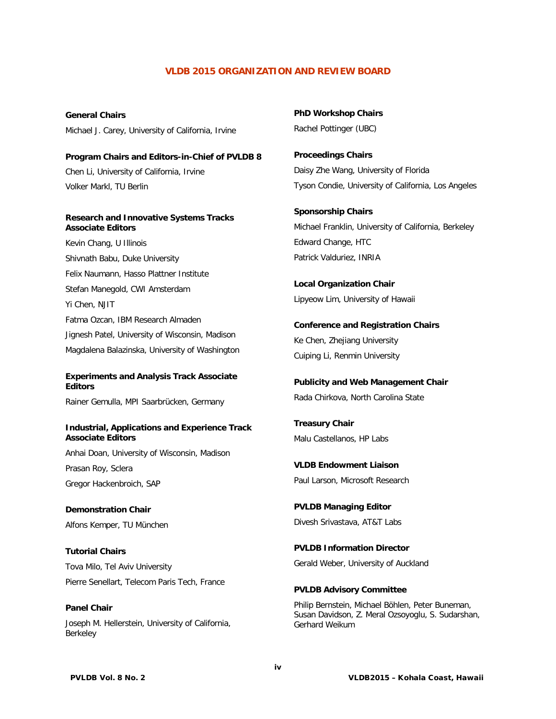### **VLDB 2015 ORGANIZATION AND REVIEW BOARD**

**General Chairs** Michael J. Carey, University of California, Irvine

**Program Chairs and Editors-in-Chief of PVLDB 8** Chen Li, University of California, Irvine Volker Markl, TU Berlin

#### **Research and Innovative Systems Tracks Associate Editors**

Kevin Chang, U Illinois Shivnath Babu, Duke University Felix Naumann, Hasso Plattner Institute Stefan Manegold, CWI Amsterdam Yi Chen, NJIT Fatma Ozcan, IBM Research Almaden Jignesh Patel, University of Wisconsin, Madison Magdalena Balazinska, University of Washington

#### **Experiments and Analysis Track Associate Editors**

Rainer Gemulla, MPI Saarbrücken, Germany

#### **Industrial, Applications and Experience Track Associate Editors**

Anhai Doan, University of Wisconsin, Madison Prasan Roy, Sclera Gregor Hackenbroich, SAP

**Demonstration Chair** Alfons Kemper, TU München

**Tutorial Chairs** Tova Milo, Tel Aviv University Pierre Senellart, Telecom Paris Tech, France

**Panel Chair** Joseph M. Hellerstein, University of California, Berkeley

**PhD Workshop Chairs** Rachel Pottinger (UBC)

**Proceedings Chairs** Daisy Zhe Wang, University of Florida Tyson Condie, University of California, Los Angeles

**Sponsorship Chairs** Michael Franklin, University of California, Berkeley Edward Change, HTC Patrick Valduriez, INRIA

**Local Organization Chair** Lipyeow Lim, University of Hawaii

**Conference and Registration Chairs** Ke Chen, Zhejiang University Cuiping Li, Renmin University

**Publicity and Web Management Chair** Rada Chirkova, North Carolina State

**Treasury Chair** Malu Castellanos, HP Labs

**VLDB Endowment Liaison** Paul Larson, Microsoft Research

**PVLDB Managing Editor** Divesh Srivastava, AT&T Labs

**PVLDB Information Director** Gerald Weber, University of Auckland

**PVLDB Advisory Committee** Philip Bernstein, Michael Böhlen, Peter Buneman,

Susan Davidson, Z. Meral Ozsoyoglu, S. Sudarshan, Gerhard Weikum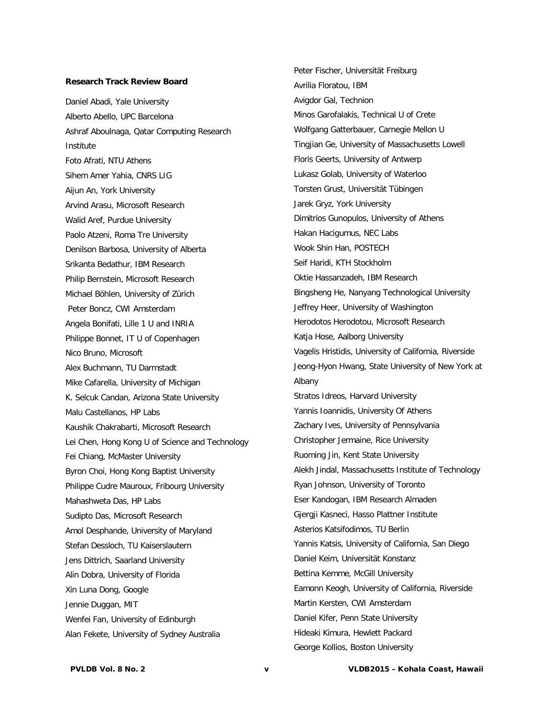#### **Research Track Review Board**

Daniel Abadi, Yale University Alberto Abello, UPC Barcelona Ashraf Aboulnaga, Qatar Computing Research Institute Foto Afrati, NTU Athens Sihem Amer Yahia, CNRS LIG Aijun An, York University Arvind Arasu, Microsoft Research Walid Aref, Purdue University Paolo Atzeni, Roma Tre University Denilson Barbosa, University of Alberta Srikanta Bedathur, IBM Research Philip Bernstein, Microsoft Research Michael Böhlen, University of Zürich Peter Boncz, CWI Amsterdam Angela Bonifati, Lille 1 U and INRIA Philippe Bonnet, IT U of Copenhagen Nico Bruno, Microsoft Alex Buchmann, TU Darmstadt Mike Cafarella, University of Michigan K. Selcuk Candan, Arizona State University Malu Castellanos, HP Labs Kaushik Chakrabarti, Microsoft Research Lei Chen, Hong Kong U of Science and Technology Fei Chiang, McMaster University Byron Choi, Hong Kong Baptist University Philippe Cudre Mauroux, Fribourg University Mahashweta Das, HP Labs Sudipto Das, Microsoft Research Amol Desphande, University of Maryland Stefan Dessloch, TU Kaiserslautern Jens Dittrich, Saarland University Alin Dobra, University of Florida Xin Luna Dong, Google Jennie Duggan, MIT Wenfei Fan, University of Edinburgh Alan Fekete, University of Sydney Australia

Peter Fischer, Universität Freiburg Avrilia Floratou, IBM Avigdor Gal, Technion Minos Garofalakis, Technical U of Crete Wolfgang Gatterbauer, Carnegie Mellon U Tingjian Ge, University of Massachusetts Lowell Floris Geerts, University of Antwerp Lukasz Golab, University of Waterloo Torsten Grust, Universität Tübingen Jarek Gryz, York University Dimitrios Gunopulos, University of Athens Hakan Hacigumus, NEC Labs Wook Shin Han, POSTECH Seif Haridi, KTH Stockholm Oktie Hassanzadeh, IBM Research Bingsheng He, Nanyang Technological University Jeffrey Heer, University of Washington Herodotos Herodotou, Microsoft Research Katja Hose, Aalborg University Vagelis Hristidis, University of California, Riverside Jeong-Hyon Hwang, State University of New York at Albany Stratos Idreos, Harvard University Yannis Ioannidis, University Of Athens Zachary Ives, University of Pennsylvania Christopher Jermaine, Rice University Ruoming Jin, Kent State University Alekh Jindal, Massachusetts Institute of Technology Ryan Johnson, University of Toronto Eser Kandogan, IBM Research Almaden Gjergji Kasneci, Hasso Plattner Institute Asterios Katsifodimos, TU Berlin Yannis Katsis, University of California, San Diego Daniel Keim, Universität Konstanz Bettina Kemme, McGill University Eamonn Keogh, University of California, Riverside Martin Kersten, CWI Amsterdam Daniel Kifer, Penn State University Hideaki Kimura, Hewlett Packard George Kollios, Boston University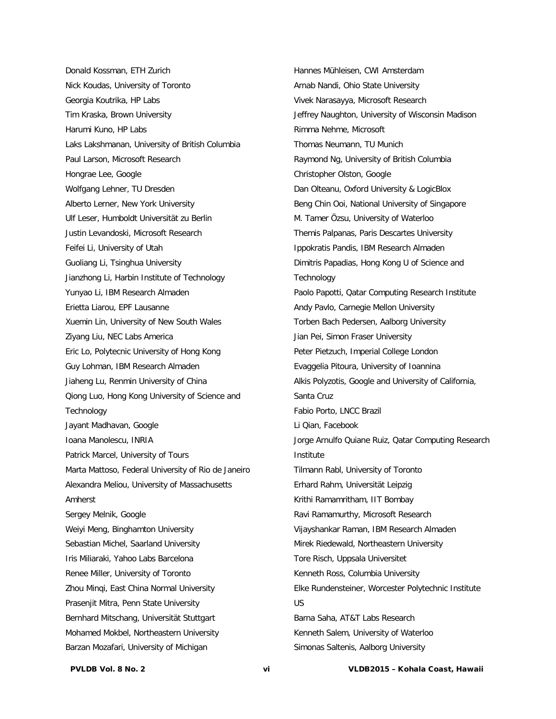Donald Kossman, ETH Zurich Nick Koudas, University of Toronto Georgia Koutrika, HP Labs Tim Kraska, Brown University Harumi Kuno, HP Labs Laks Lakshmanan, University of British Columbia Paul Larson, Microsoft Research Hongrae Lee, Google Wolfgang Lehner, TU Dresden Alberto Lerner, New York University Ulf Leser, Humboldt Universität zu Berlin Justin Levandoski, Microsoft Research Feifei Li, University of Utah Guoliang Li, Tsinghua University Jianzhong Li, Harbin Institute of Technology Yunyao Li, IBM Research Almaden Erietta Liarou, EPF Lausanne Xuemin Lin, University of New South Wales Ziyang Liu, NEC Labs America Eric Lo, Polytecnic University of Hong Kong Guy Lohman, IBM Research Almaden Jiaheng Lu, Renmin University of China Qiong Luo, Hong Kong University of Science and **Technology** Jayant Madhavan, Google Ioana Manolescu, INRIA Patrick Marcel, University of Tours Marta Mattoso, Federal University of Rio de Janeiro Alexandra Meliou, University of Massachusetts Amherst Sergey Melnik, Google Weiyi Meng, Binghamton University Sebastian Michel, Saarland University Iris Miliaraki, Yahoo Labs Barcelona Renee Miller, University of Toronto Zhou Minqi, East China Normal University Prasenjit Mitra, Penn State University Bernhard Mitschang, Universität Stuttgart Mohamed Mokbel, Northeastern University Barzan Mozafari, University of Michigan

Hannes Mühleisen, CWI Amsterdam Arnab Nandi, Ohio State University Vivek Narasayya, Microsoft Research Jeffrey Naughton, University of Wisconsin Madison Rimma Nehme, Microsoft Thomas Neumann, TU Munich Raymond Ng, University of British Columbia Christopher Olston, Google Dan Olteanu, Oxford University & LogicBlox Beng Chin Ooi, National University of Singapore M. Tamer Özsu, University of Waterloo Themis Palpanas, Paris Descartes University Ippokratis Pandis, IBM Research Almaden Dimitris Papadias, Hong Kong U of Science and **Technology** Paolo Papotti, Qatar Computing Research Institute Andy Pavlo, Carnegie Mellon University Torben Bach Pedersen, Aalborg University Jian Pei, Simon Fraser University Peter Pietzuch, Imperial College London Evaggelia Pitoura, University of Ioannina Alkis Polyzotis, Google and University of California, Santa Cruz Fabio Porto, LNCC Brazil Li Qian, Facebook Jorge Arnulfo Quiane Ruiz, Qatar Computing Research Institute Tilmann Rabl, University of Toronto Erhard Rahm, Universität Leipzig Krithi Ramamritham, IIT Bombay Ravi Ramamurthy, Microsoft Research Vijayshankar Raman, IBM Research Almaden Mirek Riedewald, Northeastern University Tore Risch, Uppsala Universitet Kenneth Ross, Columbia University Elke Rundensteiner, Worcester Polytechnic Institute US Barna Saha, AT&T Labs Research Kenneth Salem, University of Waterloo Simonas Saltenis, Aalborg University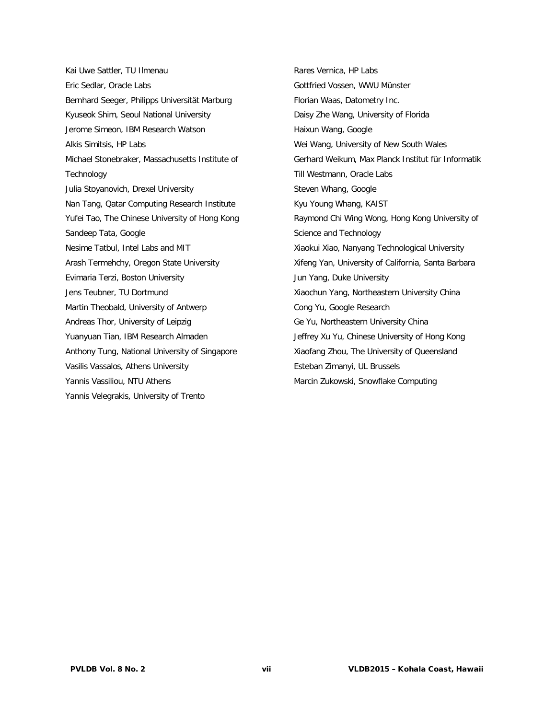Kai Uwe Sattler, TU Ilmenau Eric Sedlar, Oracle Labs Bernhard Seeger, Philipps Universität Marburg Kyuseok Shim, Seoul National University Jerome Simeon, IBM Research Watson Alkis Simitsis, HP Labs Michael Stonebraker, Massachusetts Institute of Technology Julia Stoyanovich, Drexel University Nan Tang, Qatar Computing Research Institute Yufei Tao, The Chinese University of Hong Kong Sandeep Tata, Google Nesime Tatbul, Intel Labs and MIT Arash Termehchy, Oregon State University Evimaria Terzi, Boston University Jens Teubner, TU Dortmund Martin Theobald, University of Antwerp Andreas Thor, University of Leipzig Yuanyuan Tian, IBM Research Almaden Anthony Tung, National University of Singapore Vasilis Vassalos, Athens University Yannis Vassiliou, NTU Athens Yannis Velegrakis, University of Trento

Rares Vernica, HP Labs Gottfried Vossen, WWU Münster Florian Waas, Datometry Inc. Daisy Zhe Wang, University of Florida Haixun Wang, Google Wei Wang, University of New South Wales Gerhard Weikum, Max Planck Institut für Informatik Till Westmann, Oracle Labs Steven Whang, Google Kyu Young Whang, KAIST Raymond Chi Wing Wong, Hong Kong University of Science and Technology Xiaokui Xiao, Nanyang Technological University Xifeng Yan, University of California, Santa Barbara Jun Yang, Duke University Xiaochun Yang, Northeastern University China Cong Yu, Google Research Ge Yu, Northeastern University China Jeffrey Xu Yu, Chinese University of Hong Kong Xiaofang Zhou, The University of Queensland Esteban Zimanyi, UL Brussels Marcin Zukowski, Snowflake Computing